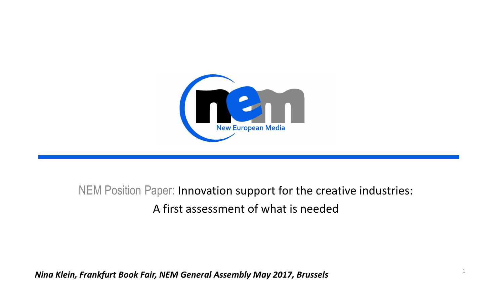

#### NEM Position Paper: Innovation support for the creative industries: A first assessment of what is needed

1

*Nina Klein, Frankfurt Book Fair, NEM General Assembly May 2017, Brussels*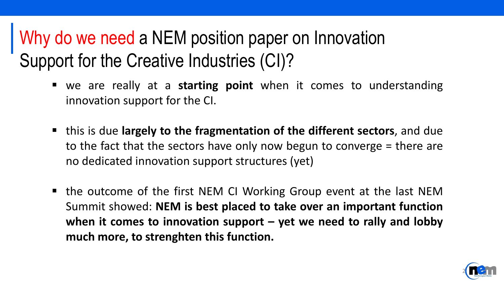### Why do we need a NEM position paper on Innovation Support for the Creative Industries (CI)?

- we are really at a **starting point** when it comes to understanding innovation support for the CI.
- this is due **largely to the fragmentation of the different sectors**, and due to the fact that the sectors have only now begun to converge = there are no dedicated innovation support structures (yet)
- the outcome of the first NEM CI Working Group event at the last NEM Summit showed: **NEM is best placed to take over an important function when it comes to innovation support – yet we need to rally and lobby much more, to strenghten this function.**

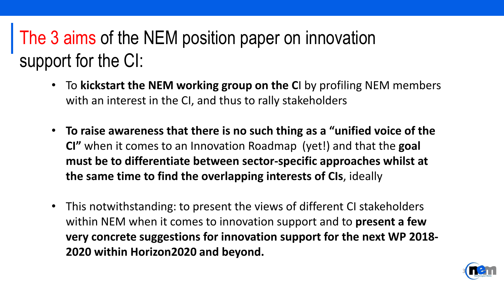# The 3 aims of the NEM position paper on innovation support for the CI:

- To **kickstart the NEM working group on the C**I by profiling NEM members with an interest in the CI, and thus to rally stakeholders
- **To raise awareness that there is no such thing as a "unified voice of the CI"** when it comes to an Innovation Roadmap (yet!) and that the **goal must be to differentiate between sector-specific approaches whilst at the same time to find the overlapping interests of CIs**, ideally
- This notwithstanding: to present the views of different CI stakeholders within NEM when it comes to innovation support and to **present a few very concrete suggestions for innovation support for the next WP 2018- 2020 within Horizon2020 and beyond.**

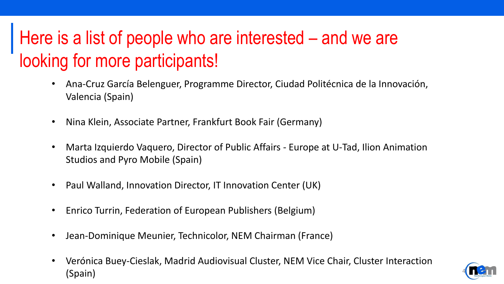# Here is a list of people who are interested – and we are looking for more participants!

- Ana-Cruz García Belenguer, Programme Director, Ciudad Politécnica de la Innovación, Valencia (Spain)
- Nina Klein, Associate Partner, Frankfurt Book Fair (Germany)
- Marta Izquierdo Vaquero, Director of Public Affairs Europe at U-Tad, Ilion Animation Studios and Pyro Mobile (Spain)
- Paul Walland, Innovation Director, IT Innovation Center (UK)
- Enrico Turrin, Federation of European Publishers (Belgium)
- Jean-Dominique Meunier, Technicolor, NEM Chairman (France)
- Verónica Buey-Cieslak, Madrid Audiovisual Cluster, NEM Vice Chair, Cluster Interaction  $(Spin)$

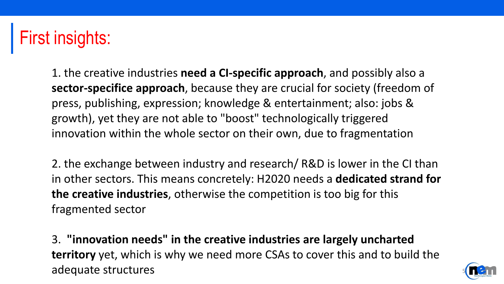1. the creative industries **need a CI-specific approach**, and possibly also a **sector-specifice approach**, because they are crucial for society (freedom of press, publishing, expression; knowledge & entertainment; also: jobs & growth), yet they are not able to "boost" technologically triggered innovation within the whole sector on their own, due to fragmentation

2. the exchange between industry and research/ R&D is lower in the CI than in other sectors. This means concretely: H2020 needs a **dedicated strand for the creative industries**, otherwise the competition is too big for this fragmented sector

3. **"innovation needs" in the creative industries are largely uncharted territory** yet, which is why we need more CSAs to cover this and to build the adequate structures

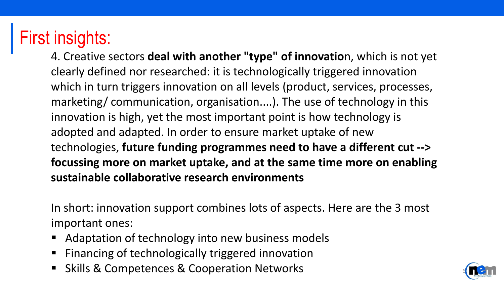4. Creative sectors **deal with another "type" of innovatio**n, which is not yet clearly defined nor researched: it is technologically triggered innovation which in turn triggers innovation on all levels (product, services, processes, marketing/ communication, organisation....). The use of technology in this innovation is high, yet the most important point is how technology is adopted and adapted. In order to ensure market uptake of new technologies, **future funding programmes need to have a different cut --> focussing more on market uptake, and at the same time more on enabling sustainable collaborative research environments**

In short: innovation support combines lots of aspects. Here are the 3 most important ones:

- Adaptation of technology into new business models
- Financing of technologically triggered innovation
- Skills & Competences & Cooperation Networks

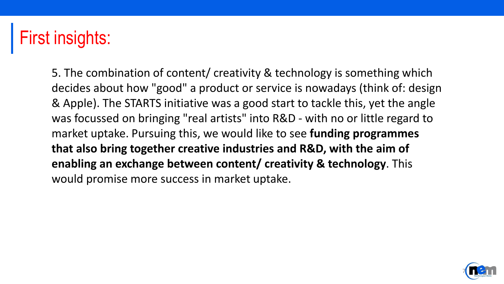5. The combination of content/ creativity & technology is something which decides about how "good" a product or service is nowadays (think of: design & Apple). The STARTS initiative was a good start to tackle this, yet the angle was focussed on bringing "real artists" into R&D - with no or little regard to market uptake. Pursuing this, we would like to see **funding programmes that also bring together creative industries and R&D, with the aim of enabling an exchange between content/ creativity & technology**. This would promise more success in market uptake.

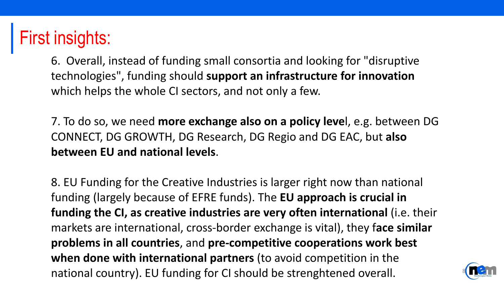6. Overall, instead of funding small consortia and looking for "disruptive technologies", funding should **support an infrastructure for innovation** which helps the whole CI sectors, and not only a few.

7. To do so, we need **more exchange also on a policy leve**l, e.g. between DG CONNECT, DG GROWTH, DG Research, DG Regio and DG EAC, but **also between EU and national levels**.

8. EU Funding for the Creative Industries is larger right now than national funding (largely because of EFRE funds). The **EU approach is crucial in funding the CI, as creative industries are very often international** (i.e. their markets are international, cross-border exchange is vital), they f**ace similar problems in all countries**, and **pre-competitive cooperations work best when done with international partners** (to avoid competition in the national country). EU funding for CI should be strenghtened overall.

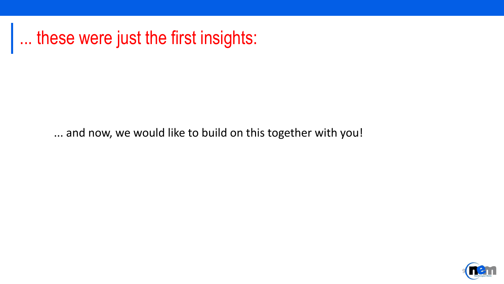... these were just the first insights:

... and now, we would like to build on this together with you!

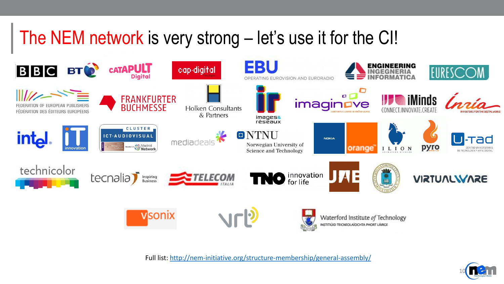#### The NEM network is very strong – let's use it for the CI!



Full list: <http://nem-initiative.org/structure-membership/general-assembly/>